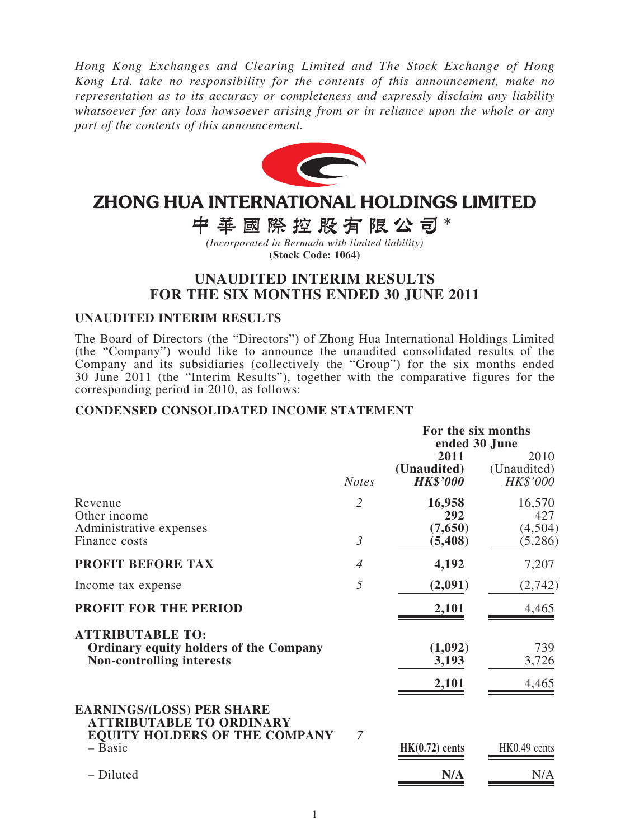*Hong Kong Exchanges and Clearing Limited and The Stock Exchange of Hong Kong Ltd. take no responsibility for the contents of this announcement, make no representation as to its accuracy or completeness and expressly disclaim any liability whatsoever for any loss howsoever arising from or in reliance upon the whole or any part of the contents of this announcement.*



# **ZHONG HUA INTERNATIONAL HOLDINGS LIMITED**

中華國際控股有限公司\*

*(Incorporated in Bermuda with limited liability)* **(Stock Code: 1064)**

### **UNAUDITED INTERIM RESULTS FOR THE SIX MONTHS ENDED 30 JUNE 2011**

#### **UNAUDITED INTERIM RESULTS**

The Board of Directors (the "Directors") of Zhong Hua International Holdings Limited (the "Company") would like to announce the unaudited consolidated results of the Company and its subsidiaries (collectively the "Group") for the six months ended 30 June 2011 (the "Interim Results"), together with the comparative figures for the corresponding period in 2010, as follows:

#### **CONDENSED CONSOLIDATED INCOME STATEMENT**

|                                                                                                              |                | For the six months<br>ended 30 June    |                                 |  |  |
|--------------------------------------------------------------------------------------------------------------|----------------|----------------------------------------|---------------------------------|--|--|
|                                                                                                              | <b>Notes</b>   | 2011<br>(Unaudited)<br><b>HK\$'000</b> | 2010<br>(Unaudited)<br>HK\$'000 |  |  |
| Revenue<br>Other income<br>Administrative expenses                                                           | $\overline{2}$ | 16,958<br>292<br>(7,650)               | 16,570<br>427<br>(4,504)        |  |  |
| Finance costs                                                                                                | $\mathfrak{Z}$ | (5, 408)                               | (5,286)                         |  |  |
| <b>PROFIT BEFORE TAX</b>                                                                                     | $\overline{A}$ | 4,192                                  | 7,207                           |  |  |
| Income tax expense                                                                                           | 5              | (2,091)                                | (2,742)                         |  |  |
| <b>PROFIT FOR THE PERIOD</b>                                                                                 |                | 2,101                                  | 4,465                           |  |  |
| <b>ATTRIBUTABLE TO:</b><br><b>Ordinary equity holders of the Company</b><br><b>Non-controlling interests</b> |                | (1,092)<br>3,193                       | 739<br>3,726                    |  |  |
|                                                                                                              |                | 2,101                                  | 4,465                           |  |  |
| <b>EARNINGS/(LOSS) PER SHARE</b><br><b>ATTRIBUTABLE TO ORDINARY</b><br><b>EQUITY HOLDERS OF THE COMPANY</b>  | $\overline{7}$ |                                        |                                 |  |  |
| $-$ Basic                                                                                                    |                | $HK(0.72)$ cents                       | HK0.49 cents                    |  |  |
| - Diluted                                                                                                    |                | N/A                                    | N/A                             |  |  |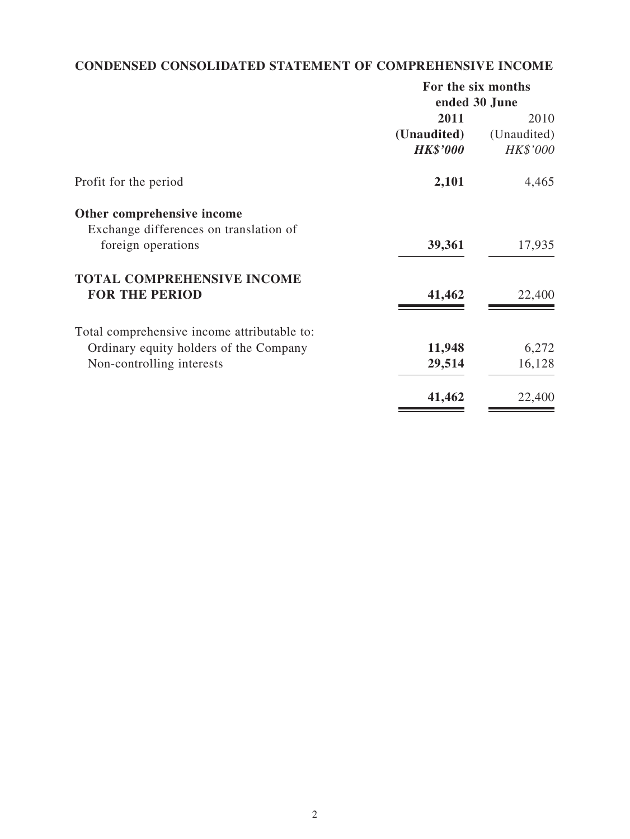## **CONDENSED CONSOLIDATED STATEMENT OF COMPREHENSIVE INCOME**

| For the six months |               |  |
|--------------------|---------------|--|
|                    | ended 30 June |  |
| 2011               | 2010          |  |
| (Unaudited)        | (Unaudited)   |  |
| <b>HK\$'000</b>    | HK\$'000      |  |
| 2,101              | 4,465         |  |
|                    |               |  |
|                    |               |  |
| 39,361             | 17,935        |  |
|                    |               |  |
| 41,462             | 22,400        |  |
|                    |               |  |
|                    | 6,272         |  |
| 29,514             | 16,128        |  |
| 41,462             | 22,400        |  |
|                    | 11,948        |  |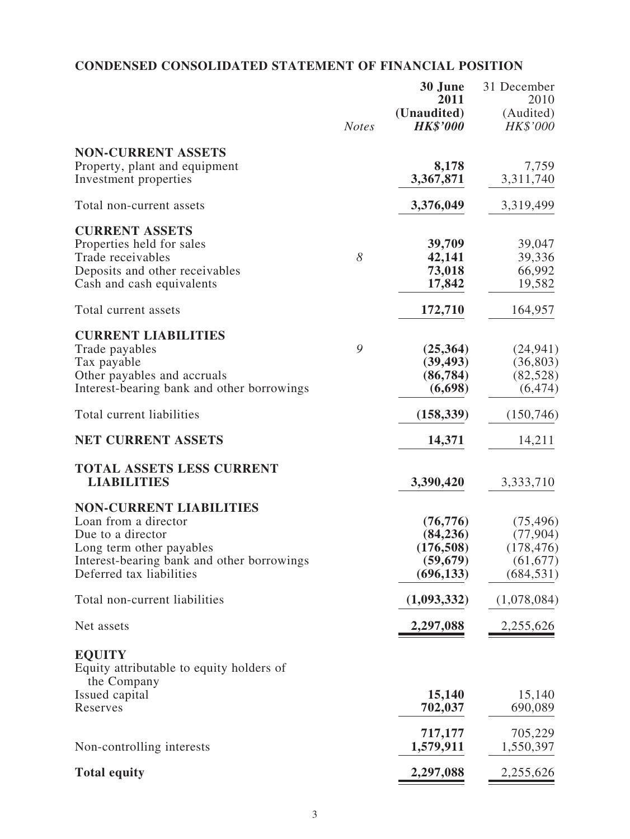## **CONDENSED CONSOLIDATED STATEMENT OF FINANCIAL POSITION**

|                                                                                                                                                                                   | <b>Notes</b> | 30 June<br>2011<br>(Unaudited)<br><b>HK\$'000</b>               | 31 December<br>2010<br>(Audited)<br>HK\$'000                    |
|-----------------------------------------------------------------------------------------------------------------------------------------------------------------------------------|--------------|-----------------------------------------------------------------|-----------------------------------------------------------------|
| <b>NON-CURRENT ASSETS</b><br>Property, plant and equipment<br>Investment properties                                                                                               |              | 8,178<br>3,367,871                                              | 7,759<br>3,311,740                                              |
| Total non-current assets                                                                                                                                                          |              | 3,376,049                                                       | 3,319,499                                                       |
| <b>CURRENT ASSETS</b><br>Properties held for sales<br>Trade receivables<br>Deposits and other receivables<br>Cash and cash equivalents                                            | 8            | 39,709<br>42,141<br>73,018<br>17,842                            | 39,047<br>39,336<br>66,992<br>19,582                            |
| Total current assets                                                                                                                                                              |              | 172,710                                                         | 164,957                                                         |
| <b>CURRENT LIABILITIES</b><br>Trade payables<br>Tax payable<br>Other payables and accruals<br>Interest-bearing bank and other borrowings                                          | 9            | (25,364)<br>(39, 493)<br>(86, 784)<br>(6,698)                   | (24, 941)<br>(36, 803)<br>(82, 528)<br>(6, 474)                 |
| Total current liabilities                                                                                                                                                         |              | (158, 339)                                                      | (150, 746)                                                      |
| <b>NET CURRENT ASSETS</b>                                                                                                                                                         |              | 14,371                                                          | 14,211                                                          |
| <b>TOTAL ASSETS LESS CURRENT</b><br><b>LIABILITIES</b>                                                                                                                            |              | 3,390,420                                                       | 3,333,710                                                       |
| <b>NON-CURRENT LIABILITIES</b><br>Loan from a director<br>Due to a director<br>Long term other payables<br>Interest-bearing bank and other borrowings<br>Deferred tax liabilities |              | (76, 776)<br>(84, 236)<br>(176, 508)<br>(59, 679)<br>(696, 133) | (75, 496)<br>(77, 904)<br>(178, 476)<br>(61, 677)<br>(684, 531) |
| Total non-current liabilities                                                                                                                                                     |              | (1,093,332)                                                     | (1,078,084)                                                     |
| Net assets                                                                                                                                                                        |              | 2,297,088                                                       | 2,255,626                                                       |
| <b>EQUITY</b><br>Equity attributable to equity holders of<br>the Company                                                                                                          |              |                                                                 |                                                                 |
| Issued capital<br>Reserves                                                                                                                                                        |              | 15,140<br>702,037                                               | 15,140<br>690,089                                               |
| Non-controlling interests                                                                                                                                                         |              | 717,177<br>1,579,911                                            | 705,229<br>1,550,397                                            |
| <b>Total equity</b>                                                                                                                                                               |              | 2,297,088                                                       | 2,255,626                                                       |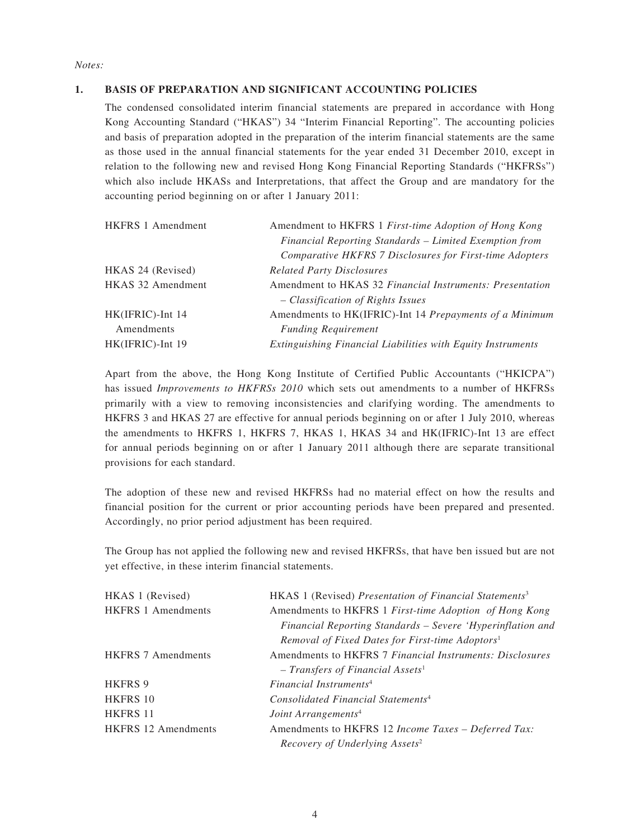*Notes:*

#### **1. BASIS OF PREPARATION AND SIGNIFICANT ACCOUNTING POLICIES**

The condensed consolidated interim financial statements are prepared in accordance with Hong Kong Accounting Standard ("HKAS") 34 "Interim Financial Reporting". The accounting policies and basis of preparation adopted in the preparation of the interim financial statements are the same as those used in the annual financial statements for the year ended 31 December 2010, except in relation to the following new and revised Hong Kong Financial Reporting Standards ("HKFRSs") which also include HKASs and Interpretations, that affect the Group and are mandatory for the accounting period beginning on or after 1 January 2011:

| Amendment to HKFRS 1 First-time Adoption of Hong Kong       |
|-------------------------------------------------------------|
| Financial Reporting Standards - Limited Exemption from      |
| Comparative HKFRS 7 Disclosures for First-time Adopters     |
| <b>Related Party Disclosures</b>                            |
| Amendment to HKAS 32 Financial Instruments: Presentation    |
| - Classification of Rights Issues                           |
| Amendments to HK(IFRIC)-Int 14 Prepayments of a Minimum     |
| <b>Funding Requirement</b>                                  |
| Extinguishing Financial Liabilities with Equity Instruments |
|                                                             |

Apart from the above, the Hong Kong Institute of Certified Public Accountants ("HKICPA") has issued *Improvements to HKFRSs 2010* which sets out amendments to a number of HKFRSs primarily with a view to removing inconsistencies and clarifying wording. The amendments to HKFRS 3 and HKAS 27 are effective for annual periods beginning on or after 1 July 2010, whereas the amendments to HKFRS 1, HKFRS 7, HKAS 1, HKAS 34 and HK(IFRIC)-Int 13 are effect for annual periods beginning on or after 1 January 2011 although there are separate transitional provisions for each standard.

The adoption of these new and revised HKFRSs had no material effect on how the results and financial position for the current or prior accounting periods have been prepared and presented. Accordingly, no prior period adjustment has been required.

The Group has not applied the following new and revised HKFRSs, that have ben issued but are not yet effective, in these interim financial statements.

| HKAS 1 (Revised) Presentation of Financial Statements <sup>3</sup> |
|--------------------------------------------------------------------|
| Amendments to HKFRS 1 First-time Adoption of Hong Kong             |
| Financial Reporting Standards – Severe 'Hyperinflation and         |
| Removal of Fixed Dates for First-time Adoptors <sup>1</sup>        |
| Amendments to HKFRS 7 Financial Instruments: Disclosures           |
| $- Transfers of Financial Assets1$                                 |
| Financial Instruments <sup>4</sup>                                 |
| Consolidated Financial Statements <sup>4</sup>                     |
| Joint Arrangements <sup>4</sup>                                    |
| Amendments to HKFRS 12 Income Taxes – Deferred Tax:                |
| Recovery of Underlying Assets <sup>2</sup>                         |
|                                                                    |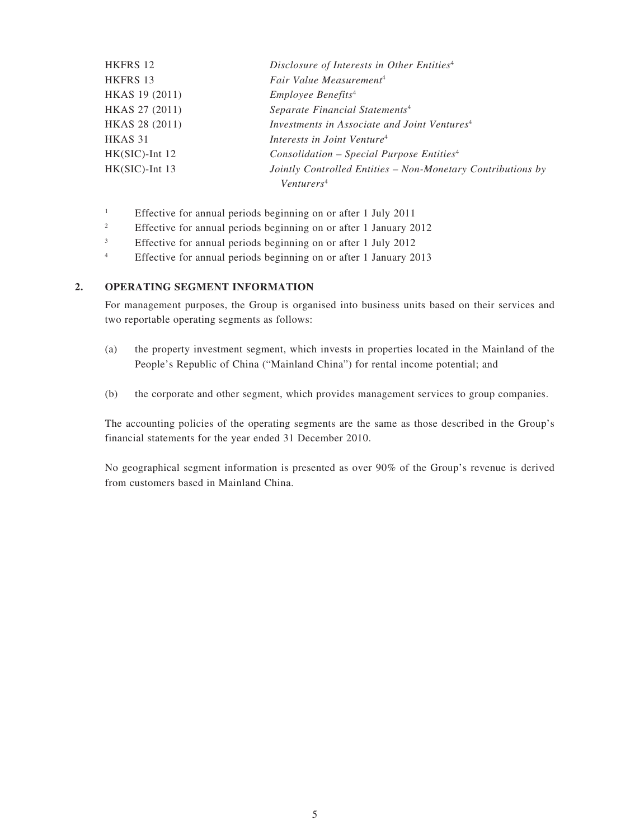| HKFRS 12          | Disclosure of Interests in Other Entities <sup>4</sup>      |
|-------------------|-------------------------------------------------------------|
| HKFRS 13          | Fair Value Measurement <sup>4</sup>                         |
| HKAS 19 (2011)    | <i>Employee Benefits<sup>4</sup></i>                        |
| HKAS 27 (2011)    | Separate Financial Statements <sup>4</sup>                  |
| HKAS 28 (2011)    | Investments in Associate and Joint Ventures <sup>4</sup>    |
| HKAS 31           | Interests in Joint Venture <sup>4</sup>                     |
| $HK(SIC)$ -Int 12 | $Consolidation - Special Purpose Entities4$                 |
| $HK(SIC)$ -Int 13 | Jointly Controlled Entities - Non-Monetary Contributions by |
|                   | Venturers <sup>4</sup>                                      |

- 1 Effective for annual periods beginning on or after 1 July 2011
- 2 Effective for annual periods beginning on or after 1 January 2012
- 3 Effective for annual periods beginning on or after 1 July 2012
- 4 Effective for annual periods beginning on or after 1 January 2013

#### **2. OPERATING SEGMENT INFORMATION**

For management purposes, the Group is organised into business units based on their services and two reportable operating segments as follows:

- (a) the property investment segment, which invests in properties located in the Mainland of the People's Republic of China ("Mainland China") for rental income potential; and
- (b) the corporate and other segment, which provides management services to group companies.

The accounting policies of the operating segments are the same as those described in the Group's financial statements for the year ended 31 December 2010.

No geographical segment information is presented as over 90% of the Group's revenue is derived from customers based in Mainland China.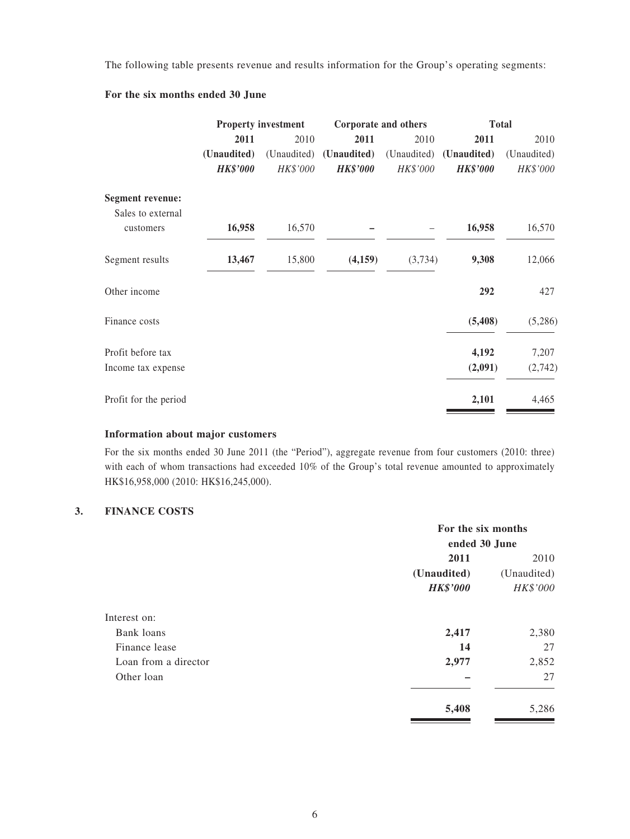The following table presents revenue and results information for the Group's operating segments:

#### **For the six months ended 30 June**

|                                |                 | <b>Property investment</b> |                 | Corporate and others | <b>Total</b>    |             |
|--------------------------------|-----------------|----------------------------|-----------------|----------------------|-----------------|-------------|
|                                | 2011            | 2010                       | 2011            | 2010                 | 2011            | 2010        |
|                                | (Unaudited)     | (Unaudited)                | (Unaudited)     | (Unaudited)          | (Unaudited)     | (Unaudited) |
|                                | <b>HK\$'000</b> | HK\$'000                   | <b>HK\$'000</b> | HK\$'000             | <b>HK\$'000</b> | HK\$'000    |
| <b>Segment revenue:</b>        |                 |                            |                 |                      |                 |             |
| Sales to external<br>customers | 16,958          | 16,570                     |                 |                      | 16,958          | 16,570      |
| Segment results                | 13,467          | 15,800                     | (4,159)         | (3,734)              | 9,308           | 12,066      |
| Other income                   |                 |                            |                 |                      | 292             | 427         |
| Finance costs                  |                 |                            |                 |                      | (5, 408)        | (5,286)     |
| Profit before tax              |                 |                            |                 |                      | 4,192           | 7,207       |
| Income tax expense             |                 |                            |                 |                      | (2,091)         | (2, 742)    |
| Profit for the period          |                 |                            |                 |                      | 2,101           | 4,465       |

#### **Information about major customers**

For the six months ended 30 June 2011 (the "Period"), aggregate revenue from four customers (2010: three) with each of whom transactions had exceeded 10% of the Group's total revenue amounted to approximately HK\$16,958,000 (2010: HK\$16,245,000).

#### **3. FINANCE COSTS**

|                      | For the six months |                     |  |  |
|----------------------|--------------------|---------------------|--|--|
|                      | ended 30 June      |                     |  |  |
|                      | 2011               | 2010<br>(Unaudited) |  |  |
|                      | (Unaudited)        |                     |  |  |
|                      | <b>HK\$'000</b>    | HK\$'000            |  |  |
| Interest on:         |                    |                     |  |  |
| Bank loans           | 2,417              | 2,380               |  |  |
| Finance lease        | 14                 | 27                  |  |  |
| Loan from a director | 2,977              | 2,852               |  |  |
| Other loan           |                    | 27                  |  |  |
|                      | 5,408              | 5,286               |  |  |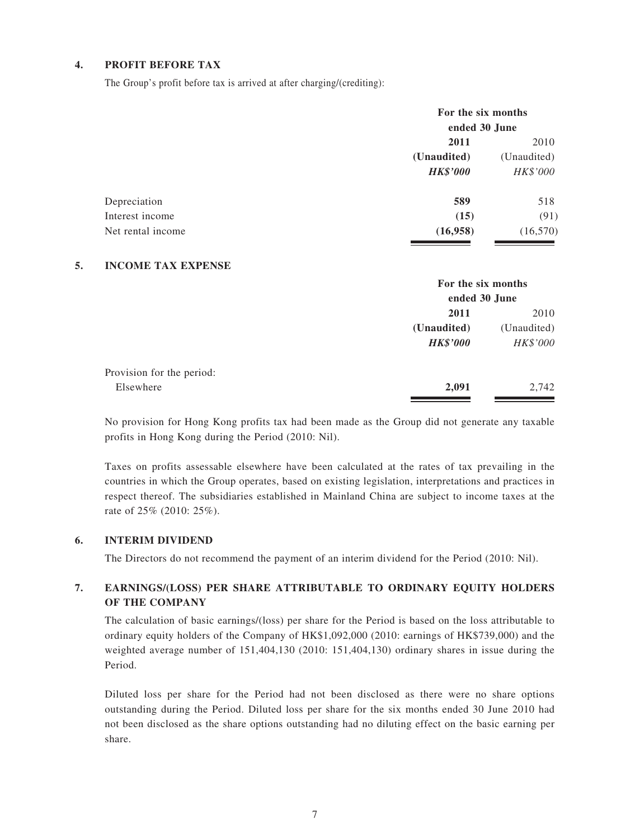#### **4. PROFIT BEFORE TAX**

The Group's profit before tax is arrived at after charging/(crediting):

| For the six months<br>ended 30 June |           |  |
|-------------------------------------|-----------|--|
| 2011                                |           |  |
| (Unaudited)<br>(Unaudited)          |           |  |
| <b>HK\$'000</b>                     | HK\$'000  |  |
| 589                                 | 518       |  |
| (15)                                | (91)      |  |
| (16,958)                            | (16, 570) |  |
|                                     |           |  |

#### **5. INCOME TAX EXPENSE**

|                           |                 | For the six months |  |  |
|---------------------------|-----------------|--------------------|--|--|
|                           |                 | ended 30 June      |  |  |
|                           | 2011            | 2010               |  |  |
|                           | (Unaudited)     | (Unaudited)        |  |  |
|                           | <b>HK\$'000</b> | HK\$'000           |  |  |
| Provision for the period: |                 |                    |  |  |
| Elsewhere                 | 2,091           | 2,742              |  |  |
|                           |                 |                    |  |  |

No provision for Hong Kong profits tax had been made as the Group did not generate any taxable profits in Hong Kong during the Period (2010: Nil).

Taxes on profits assessable elsewhere have been calculated at the rates of tax prevailing in the countries in which the Group operates, based on existing legislation, interpretations and practices in respect thereof. The subsidiaries established in Mainland China are subject to income taxes at the rate of 25% (2010: 25%).

#### **6. INTERIM DIVIDEND**

The Directors do not recommend the payment of an interim dividend for the Period (2010: Nil).

#### **7. EARNINGS/(LOSS) PER SHARE ATTRIBUTABLE TO ORDINARY EQUITY HOLDERS OF THE COMPANY**

The calculation of basic earnings/(loss) per share for the Period is based on the loss attributable to ordinary equity holders of the Company of HK\$1,092,000 (2010: earnings of HK\$739,000) and the weighted average number of 151,404,130 (2010: 151,404,130) ordinary shares in issue during the Period.

Diluted loss per share for the Period had not been disclosed as there were no share options outstanding during the Period. Diluted loss per share for the six months ended 30 June 2010 had not been disclosed as the share options outstanding had no diluting effect on the basic earning per share.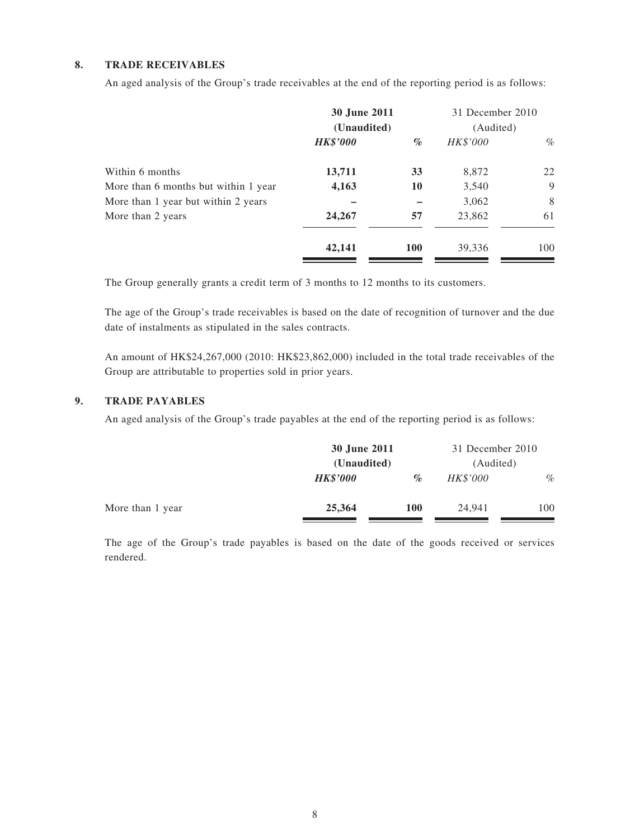#### **8. TRADE RECEIVABLES**

An aged analysis of the Group's trade receivables at the end of the reporting period is as follows:

|                                      | 30 June 2011<br>(Unaudited) |            | 31 December 2010<br>(Audited) |      |
|--------------------------------------|-----------------------------|------------|-------------------------------|------|
|                                      | <b>HK\$'000</b>             | $\%$       | HK\$'000                      | $\%$ |
| Within 6 months                      | 13,711                      | 33         | 8,872                         | 22   |
| More than 6 months but within 1 year | 4,163                       | 10         | 3,540                         | 9    |
| More than 1 year but within 2 years  |                             |            | 3,062                         | 8    |
| More than 2 years                    | 24,267                      | 57         | 23,862                        | 61   |
|                                      | 42,141                      | <b>100</b> | 39,336                        | 100  |

The Group generally grants a credit term of 3 months to 12 months to its customers.

The age of the Group's trade receivables is based on the date of recognition of turnover and the due date of instalments as stipulated in the sales contracts.

An amount of HK\$24,267,000 (2010: HK\$23,862,000) included in the total trade receivables of the Group are attributable to properties sold in prior years.

#### **9. TRADE PAYABLES**

An aged analysis of the Group's trade payables at the end of the reporting period is as follows:

|                  | 30 June 2011<br>(Unaudited) |            | 31 December 2010 |           |
|------------------|-----------------------------|------------|------------------|-----------|
|                  |                             |            |                  | (Audited) |
|                  | <b>HK\$'000</b>             | $\%$       | <i>HK\$'000</i>  | $\%$      |
| More than 1 year | 25,364                      | <b>100</b> | 24,941           | 100       |

The age of the Group's trade payables is based on the date of the goods received or services rendered.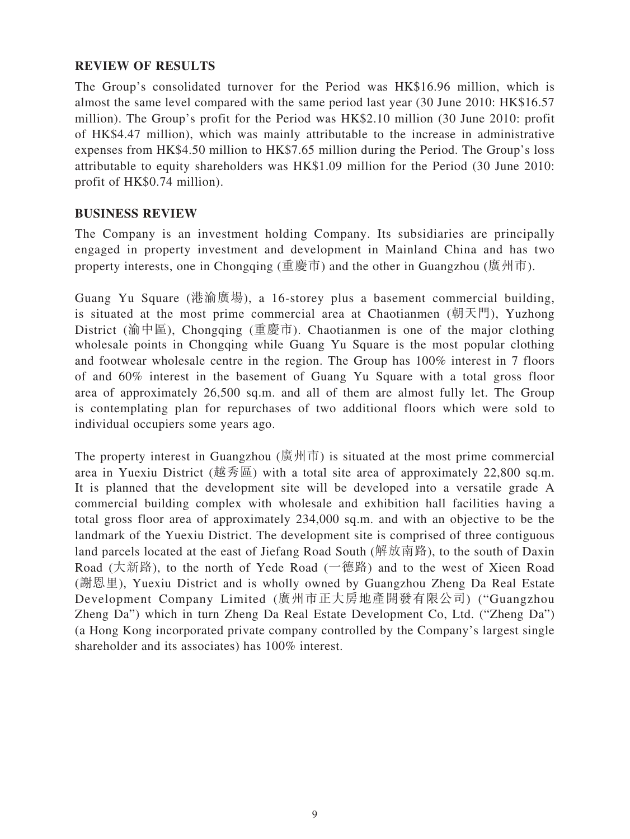### **REVIEW OF RESULTS**

The Group's consolidated turnover for the Period was HK\$16.96 million, which is almost the same level compared with the same period last year (30 June 2010: HK\$16.57 million). The Group's profit for the Period was HK\$2.10 million (30 June 2010: profit of HK\$4.47 million), which was mainly attributable to the increase in administrative expenses from HK\$4.50 million to HK\$7.65 million during the Period. The Group's loss attributable to equity shareholders was HK\$1.09 million for the Period (30 June 2010: profit of HK\$0.74 million).

#### **BUSINESS REVIEW**

The Company is an investment holding Company. Its subsidiaries are principally engaged in property investment and development in Mainland China and has two property interests, one in Chongqing (重慶市) and the other in Guangzhou (廣州市).

Guang Yu Square (港渝廣場), a 16-storey plus a basement commercial building, is situated at the most prime commercial area at Chaotianmen (朝天門), Yuzhong District (渝中區), Chongqing (重慶市). Chaotianmen is one of the major clothing wholesale points in Chongqing while Guang Yu Square is the most popular clothing and footwear wholesale centre in the region. The Group has 100% interest in 7 floors of and 60% interest in the basement of Guang Yu Square with a total gross floor area of approximately 26,500 sq.m. and all of them are almost fully let. The Group is contemplating plan for repurchases of two additional floors which were sold to individual occupiers some years ago.

The property interest in Guangzhou (廣州市) is situated at the most prime commercial area in Yuexiu District (越秀區) with a total site area of approximately 22,800 sq.m. It is planned that the development site will be developed into a versatile grade A commercial building complex with wholesale and exhibition hall facilities having a total gross floor area of approximately 234,000 sq.m. and with an objective to be the landmark of the Yuexiu District. The development site is comprised of three contiguous land parcels located at the east of Jiefang Road South (解放南路), to the south of Daxin Road (大新路), to the north of Yede Road (一德路) and to the west of Xieen Road (謝恩里), Yuexiu District and is wholly owned by Guangzhou Zheng Da Real Estate Development Company Limited (廣州市正大房地產開發有限公司) ("Guangzhou Zheng Da") which in turn Zheng Da Real Estate Development Co, Ltd. ("Zheng Da") (a Hong Kong incorporated private company controlled by the Company's largest single shareholder and its associates) has 100% interest.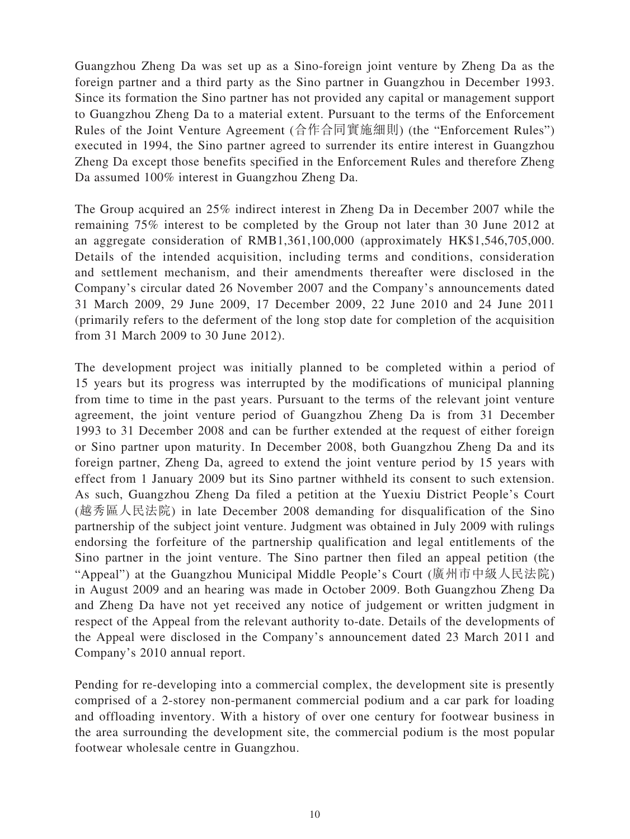Guangzhou Zheng Da was set up as a Sino-foreign joint venture by Zheng Da as the foreign partner and a third party as the Sino partner in Guangzhou in December 1993. Since its formation the Sino partner has not provided any capital or management support to Guangzhou Zheng Da to a material extent. Pursuant to the terms of the Enforcement Rules of the Joint Venture Agreement (合作合同實施細則) (the "Enforcement Rules") executed in 1994, the Sino partner agreed to surrender its entire interest in Guangzhou Zheng Da except those benefits specified in the Enforcement Rules and therefore Zheng Da assumed 100% interest in Guangzhou Zheng Da.

The Group acquired an 25% indirect interest in Zheng Da in December 2007 while the remaining 75% interest to be completed by the Group not later than 30 June 2012 at an aggregate consideration of RMB1,361,100,000 (approximately HK\$1,546,705,000. Details of the intended acquisition, including terms and conditions, consideration and settlement mechanism, and their amendments thereafter were disclosed in the Company's circular dated 26 November 2007 and the Company's announcements dated 31 March 2009, 29 June 2009, 17 December 2009, 22 June 2010 and 24 June 2011 (primarily refers to the deferment of the long stop date for completion of the acquisition from 31 March 2009 to 30 June 2012).

The development project was initially planned to be completed within a period of 15 years but its progress was interrupted by the modifications of municipal planning from time to time in the past years. Pursuant to the terms of the relevant joint venture agreement, the joint venture period of Guangzhou Zheng Da is from 31 December 1993 to 31 December 2008 and can be further extended at the request of either foreign or Sino partner upon maturity. In December 2008, both Guangzhou Zheng Da and its foreign partner, Zheng Da, agreed to extend the joint venture period by 15 years with effect from 1 January 2009 but its Sino partner withheld its consent to such extension. As such, Guangzhou Zheng Da filed a petition at the Yuexiu District People's Court (越秀區人民法院) in late December 2008 demanding for disqualification of the Sino partnership of the subject joint venture. Judgment was obtained in July 2009 with rulings endorsing the forfeiture of the partnership qualification and legal entitlements of the Sino partner in the joint venture. The Sino partner then filed an appeal petition (the "Appeal") at the Guangzhou Municipal Middle People's Court (廣州市中級人民法院) in August 2009 and an hearing was made in October 2009. Both Guangzhou Zheng Da and Zheng Da have not yet received any notice of judgement or written judgment in respect of the Appeal from the relevant authority to-date. Details of the developments of the Appeal were disclosed in the Company's announcement dated 23 March 2011 and Company's 2010 annual report.

Pending for re-developing into a commercial complex, the development site is presently comprised of a 2-storey non-permanent commercial podium and a car park for loading and offloading inventory. With a history of over one century for footwear business in the area surrounding the development site, the commercial podium is the most popular footwear wholesale centre in Guangzhou.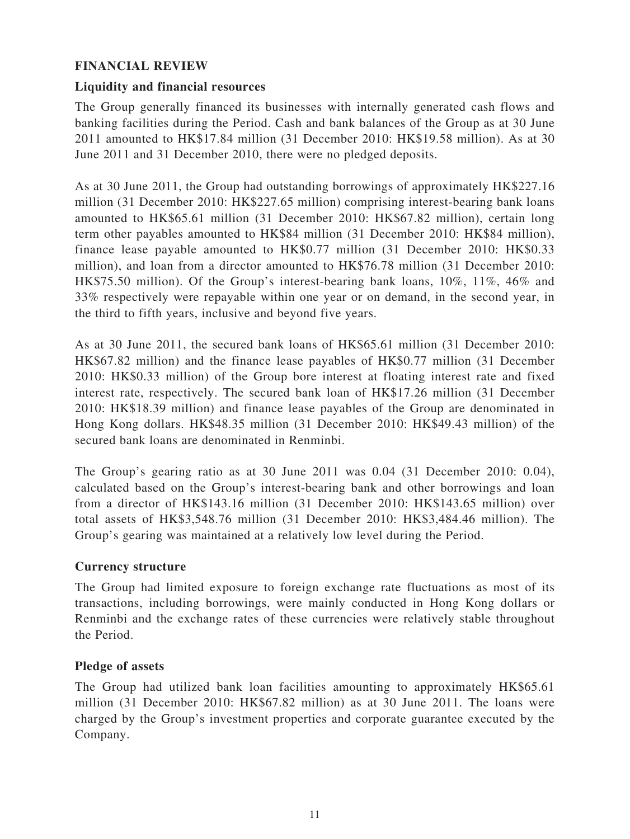### **FINANCIAL REVIEW**

### **Liquidity and financial resources**

The Group generally financed its businesses with internally generated cash flows and banking facilities during the Period. Cash and bank balances of the Group as at 30 June 2011 amounted to HK\$17.84 million (31 December 2010: HK\$19.58 million). As at 30 June 2011 and 31 December 2010, there were no pledged deposits.

As at 30 June 2011, the Group had outstanding borrowings of approximately HK\$227.16 million (31 December 2010: HK\$227.65 million) comprising interest-bearing bank loans amounted to HK\$65.61 million (31 December 2010: HK\$67.82 million), certain long term other payables amounted to HK\$84 million (31 December 2010: HK\$84 million), finance lease payable amounted to HK\$0.77 million (31 December 2010: HK\$0.33 million), and loan from a director amounted to HK\$76.78 million (31 December 2010: HK\$75.50 million). Of the Group's interest-bearing bank loans, 10%, 11%, 46% and 33% respectively were repayable within one year or on demand, in the second year, in the third to fifth years, inclusive and beyond five years.

As at 30 June 2011, the secured bank loans of HK\$65.61 million (31 December 2010: HK\$67.82 million) and the finance lease payables of HK\$0.77 million (31 December 2010: HK\$0.33 million) of the Group bore interest at floating interest rate and fixed interest rate, respectively. The secured bank loan of HK\$17.26 million (31 December 2010: HK\$18.39 million) and finance lease payables of the Group are denominated in Hong Kong dollars. HK\$48.35 million (31 December 2010: HK\$49.43 million) of the secured bank loans are denominated in Renminbi.

The Group's gearing ratio as at 30 June 2011 was 0.04 (31 December 2010: 0.04), calculated based on the Group's interest-bearing bank and other borrowings and loan from a director of HK\$143.16 million (31 December 2010: HK\$143.65 million) over total assets of HK\$3,548.76 million (31 December 2010: HK\$3,484.46 million). The Group's gearing was maintained at a relatively low level during the Period.

#### **Currency structure**

The Group had limited exposure to foreign exchange rate fluctuations as most of its transactions, including borrowings, were mainly conducted in Hong Kong dollars or Renminbi and the exchange rates of these currencies were relatively stable throughout the Period.

### **Pledge of assets**

The Group had utilized bank loan facilities amounting to approximately HK\$65.61 million (31 December 2010: HK\$67.82 million) as at 30 June 2011. The loans were charged by the Group's investment properties and corporate guarantee executed by the Company.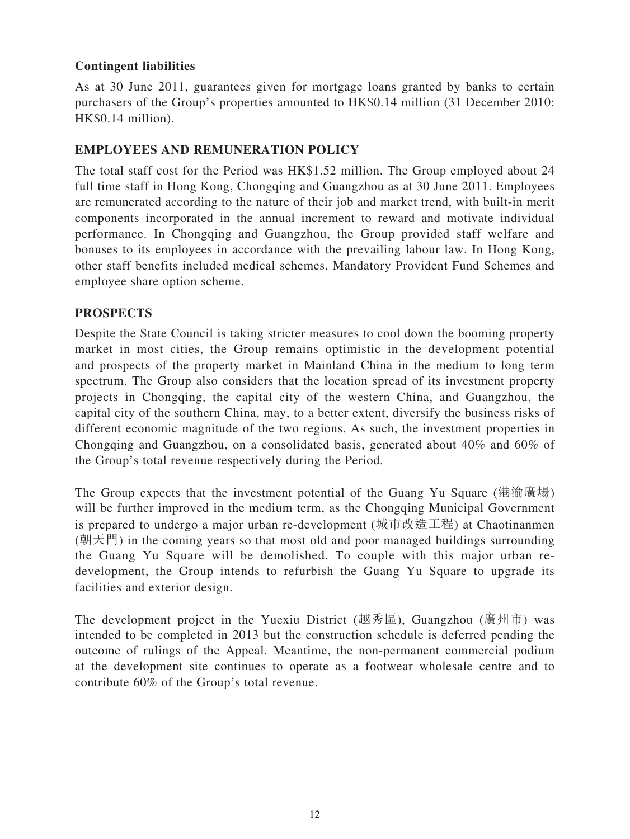### **Contingent liabilities**

As at 30 June 2011, guarantees given for mortgage loans granted by banks to certain purchasers of the Group's properties amounted to HK\$0.14 million (31 December 2010: HK\$0.14 million).

### **EMPLOYEES AND REMUNERATION POLICY**

The total staff cost for the Period was HK\$1.52 million. The Group employed about 24 full time staff in Hong Kong, Chongqing and Guangzhou as at 30 June 2011. Employees are remunerated according to the nature of their job and market trend, with built-in merit components incorporated in the annual increment to reward and motivate individual performance. In Chongqing and Guangzhou, the Group provided staff welfare and bonuses to its employees in accordance with the prevailing labour law. In Hong Kong, other staff benefits included medical schemes, Mandatory Provident Fund Schemes and employee share option scheme.

#### **PROSPECTS**

Despite the State Council is taking stricter measures to cool down the booming property market in most cities, the Group remains optimistic in the development potential and prospects of the property market in Mainland China in the medium to long term spectrum. The Group also considers that the location spread of its investment property projects in Chongqing, the capital city of the western China, and Guangzhou, the capital city of the southern China, may, to a better extent, diversify the business risks of different economic magnitude of the two regions. As such, the investment properties in Chongqing and Guangzhou, on a consolidated basis, generated about 40% and 60% of the Group's total revenue respectively during the Period.

The Group expects that the investment potential of the Guang Yu Square (港渝廣場) will be further improved in the medium term, as the Chongqing Municipal Government is prepared to undergo a major urban re-development (城市改造工程) at Chaotinanmen  $(\nexists \mathbb{R}, \mathbb{R})$  in the coming years so that most old and poor managed buildings surrounding the Guang Yu Square will be demolished. To couple with this major urban redevelopment, the Group intends to refurbish the Guang Yu Square to upgrade its facilities and exterior design.

The development project in the Yuexiu District (越秀區), Guangzhou (廣州市) was intended to be completed in 2013 but the construction schedule is deferred pending the outcome of rulings of the Appeal. Meantime, the non-permanent commercial podium at the development site continues to operate as a footwear wholesale centre and to contribute 60% of the Group's total revenue.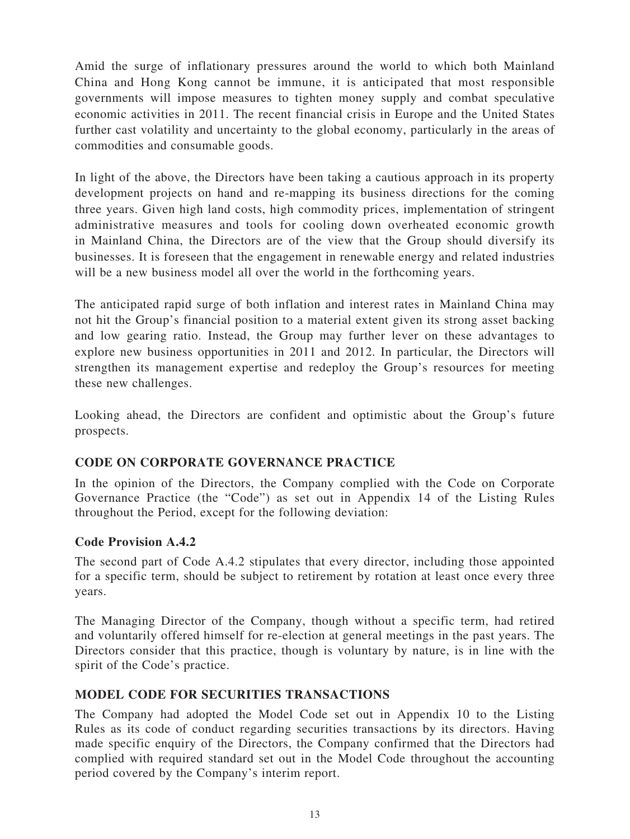Amid the surge of inflationary pressures around the world to which both Mainland China and Hong Kong cannot be immune, it is anticipated that most responsible governments will impose measures to tighten money supply and combat speculative economic activities in 2011. The recent financial crisis in Europe and the United States further cast volatility and uncertainty to the global economy, particularly in the areas of commodities and consumable goods.

In light of the above, the Directors have been taking a cautious approach in its property development projects on hand and re-mapping its business directions for the coming three years. Given high land costs, high commodity prices, implementation of stringent administrative measures and tools for cooling down overheated economic growth in Mainland China, the Directors are of the view that the Group should diversify its businesses. It is foreseen that the engagement in renewable energy and related industries will be a new business model all over the world in the forthcoming years.

The anticipated rapid surge of both inflation and interest rates in Mainland China may not hit the Group's financial position to a material extent given its strong asset backing and low gearing ratio. Instead, the Group may further lever on these advantages to explore new business opportunities in 2011 and 2012. In particular, the Directors will strengthen its management expertise and redeploy the Group's resources for meeting these new challenges.

Looking ahead, the Directors are confident and optimistic about the Group's future prospects.

### **CODE ON CORPORATE GOVERNANCE PRACTICE**

In the opinion of the Directors, the Company complied with the Code on Corporate Governance Practice (the "Code") as set out in Appendix 14 of the Listing Rules throughout the Period, except for the following deviation:

### **Code Provision A.4.2**

The second part of Code A.4.2 stipulates that every director, including those appointed for a specific term, should be subject to retirement by rotation at least once every three years.

The Managing Director of the Company, though without a specific term, had retired and voluntarily offered himself for re-election at general meetings in the past years. The Directors consider that this practice, though is voluntary by nature, is in line with the spirit of the Code's practice.

### **MODEL CODE FOR SECURITIES TRANSACTIONS**

The Company had adopted the Model Code set out in Appendix 10 to the Listing Rules as its code of conduct regarding securities transactions by its directors. Having made specific enquiry of the Directors, the Company confirmed that the Directors had complied with required standard set out in the Model Code throughout the accounting period covered by the Company's interim report.